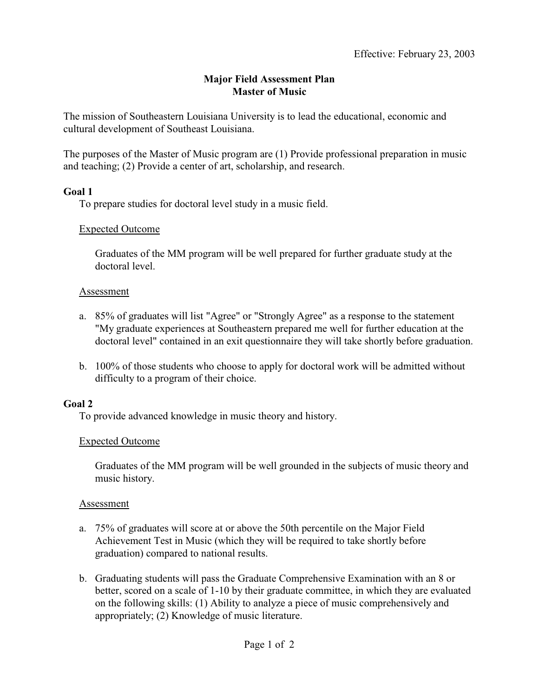# **Major Field Assessment Plan Master of Music**

The mission of Southeastern Louisiana University is to lead the educational, economic and cultural development of Southeast Louisiana.

The purposes of the Master of Music program are (1) Provide professional preparation in music and teaching; (2) Provide a center of art, scholarship, and research.

#### **Goal 1**

To prepare studies for doctoral level study in a music field.

#### Expected Outcome

Graduates of the MM program will be well prepared for further graduate study at the doctoral level.

#### Assessment

- a. 85% of graduates will list "Agree" or "Strongly Agree" as a response to the statement "My graduate experiences at Southeastern prepared me well for further education at the doctoral level" contained in an exit questionnaire they will take shortly before graduation.
- b. 100% of those students who choose to apply for doctoral work will be admitted without difficulty to a program of their choice.

### **Goal 2**

To provide advanced knowledge in music theory and history.

### Expected Outcome

Graduates of the MM program will be well grounded in the subjects of music theory and music history.

### Assessment

- a. 75% of graduates will score at or above the 50th percentile on the Major Field Achievement Test in Music (which they will be required to take shortly before graduation) compared to national results.
- b. Graduating students will pass the Graduate Comprehensive Examination with an 8 or better, scored on a scale of 1-10 by their graduate committee, in which they are evaluated on the following skills: (1) Ability to analyze a piece of music comprehensively and appropriately; (2) Knowledge of music literature.